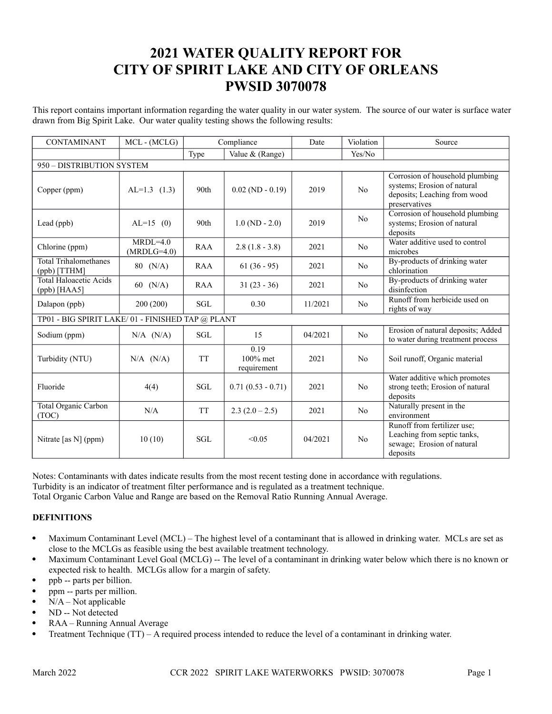# **2021 WATER QUALITY REPORT FOR CITY OF SPIRIT LAKE AND CITY OF ORLEANS PWSID 3070078**

This report contains important information regarding the water quality in our water system. The source of our water is surface water drawn from Big Spirit Lake. Our water quality testing shows the following results:

| <b>CONTAMINANT</b>                               | MCL-(MCLG)                  | Compliance       |                                    | Date    | Violation      | Source                                                                                                          |  |
|--------------------------------------------------|-----------------------------|------------------|------------------------------------|---------|----------------|-----------------------------------------------------------------------------------------------------------------|--|
|                                                  |                             | Type             | Value & (Range)                    |         | Yes/No         |                                                                                                                 |  |
| 950 - DISTRIBUTION SYSTEM                        |                             |                  |                                    |         |                |                                                                                                                 |  |
| Copper (ppm)                                     | $AL=1.3$ (1.3)              | 90 <sub>th</sub> | $0.02$ (ND $- 0.19$ )              | 2019    | No             | Corrosion of household plumbing<br>systems; Erosion of natural<br>deposits; Leaching from wood<br>preservatives |  |
| Lead (ppb)                                       | $AL=15$ (0)                 | 90th             | $1.0(ND - 2.0)$                    | 2019    | N <sub>o</sub> | Corrosion of household plumbing<br>systems; Erosion of natural<br>deposits                                      |  |
| Chlorine (ppm)                                   | $MRDL=4.0$<br>$(MRDLG=4.0)$ | RAA              | $2.8(1.8 - 3.8)$                   | 2021    | N <sub>o</sub> | Water additive used to control<br>microbes                                                                      |  |
| <b>Total Trihalomethanes</b><br>$(ppb)$ [TTHM]   | $80$ (N/A)                  | <b>RAA</b>       | $61(36-95)$                        | 2021    | N <sub>o</sub> | By-products of drinking water<br>chlorination                                                                   |  |
| <b>Total Haloacetic Acids</b><br>(ppb) [HAA5]    | 60 $(N/A)$                  | RAA              | $31(23-36)$                        | 2021    | N <sub>o</sub> | By-products of drinking water<br>disinfection                                                                   |  |
| Dalapon (ppb)                                    | 200 (200)                   | <b>SGL</b>       | 0.30                               | 11/2021 | N <sub>0</sub> | Runoff from herbicide used on<br>rights of way                                                                  |  |
| TP01 - BIG SPIRIT LAKE/01 - FINISHED TAP @ PLANT |                             |                  |                                    |         |                |                                                                                                                 |  |
| Sodium (ppm)                                     | $N/A$ $(N/A)$               | <b>SGL</b>       | 15                                 | 04/2021 | N <sub>o</sub> | Erosion of natural deposits; Added<br>to water during treatment process                                         |  |
| Turbidity (NTU)                                  | $N/A$ $(N/A)$               | <b>TT</b>        | 0.19<br>$100\%$ met<br>requirement | 2021    | No             | Soil runoff, Organic material                                                                                   |  |
| Fluoride                                         | 4(4)                        | <b>SGL</b>       | $0.71(0.53 - 0.71)$                | 2021    | No             | Water additive which promotes<br>strong teeth; Erosion of natural<br>deposits                                   |  |
| <b>Total Organic Carbon</b><br>(TOC)             | N/A                         | <b>TT</b>        | $2.3(2.0-2.5)$                     | 2021    | N <sub>o</sub> | Naturally present in the<br>environment                                                                         |  |
| Nitrate [as N] (ppm)                             | 10(10)                      | <b>SGL</b>       | < 0.05                             | 04/2021 | N <sub>o</sub> | Runoff from fertilizer use;<br>Leaching from septic tanks,<br>sewage; Erosion of natural<br>deposits            |  |

Notes: Contaminants with dates indicate results from the most recent testing done in accordance with regulations. Turbidity is an indicator of treatment filter performance and is regulated as a treatment technique.

Total Organic Carbon Value and Range are based on the Removal Ratio Running Annual Average.

## **DEFINITIONS**

- Maximum Contaminant Level (MCL) The highest level of a contaminant that is allowed in drinking water. MCLs are set as close to the MCLGs as feasible using the best available treatment technology.
- Maximum Contaminant Level Goal (MCLG) -- The level of a contaminant in drinking water below which there is no known or expected risk to health. MCLGs allow for a margin of safety.
- ppb -- parts per billion.
- ppm -- parts per million.
- N/A Not applicable
- ND -- Not detected
- RAA Running Annual Average
- Treatment Technique (TT) A required process intended to reduce the level of a contaminant in drinking water.